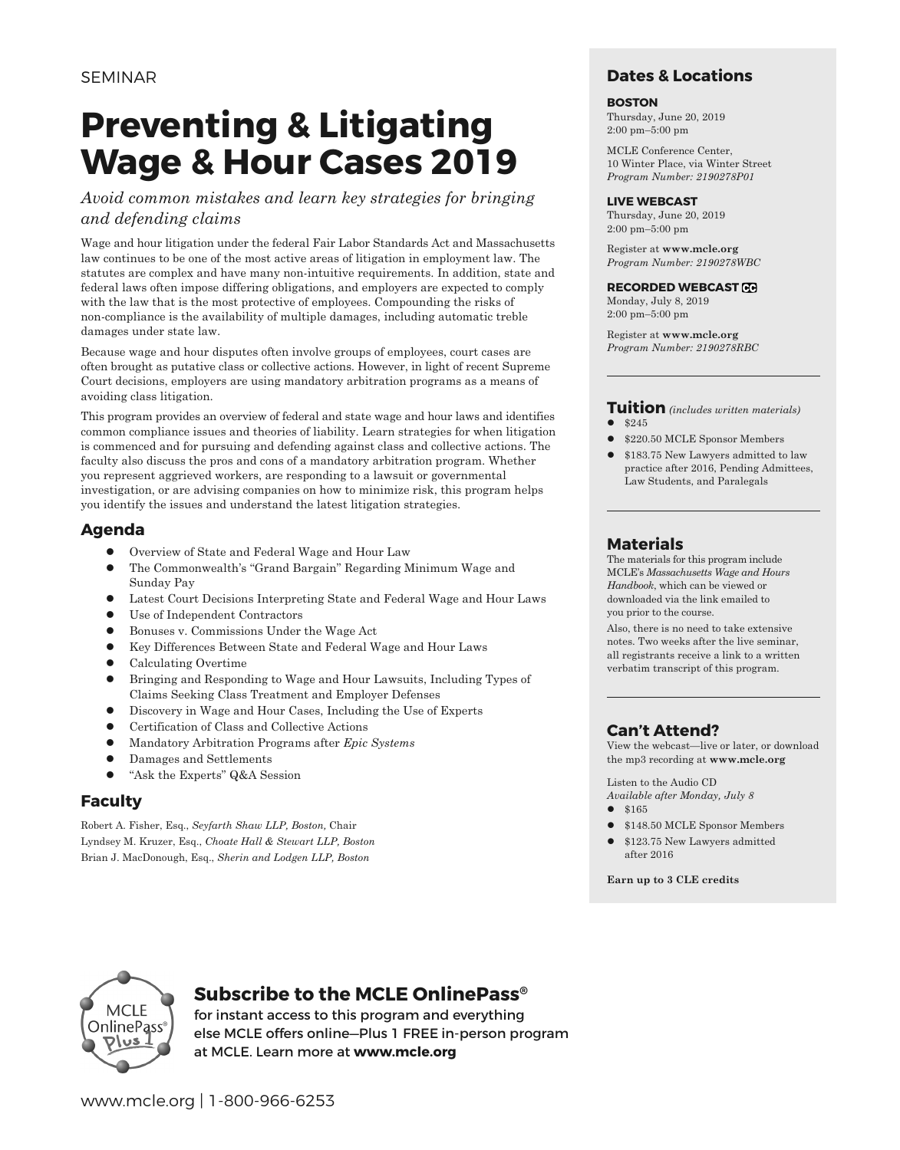## **Preventing & Litigating Wage & Hour Cases 2019**

*Avoid common mistakes and learn key strategies for bringing and defending claims*

Wage and hour litigation under the federal Fair Labor Standards Act and Massachusetts law continues to be one of the most active areas of litigation in employment law. The statutes are complex and have many non-intuitive requirements. In addition, state and federal laws often impose differing obligations, and employers are expected to comply with the law that is the most protective of employees. Compounding the risks of non-compliance is the availability of multiple damages, including automatic treble damages under state law.

Because wage and hour disputes often involve groups of employees, court cases are often brought as putative class or collective actions. However, in light of recent Supreme Court decisions, employers are using mandatory arbitration programs as a means of avoiding class litigation.

This program provides an overview of federal and state wage and hour laws and identifies common compliance issues and theories of liability. Learn strategies for when litigation is commenced and for pursuing and defending against class and collective actions. The faculty also discuss the pros and cons of a mandatory arbitration program. Whether you represent aggrieved workers, are responding to a lawsuit or governmental investigation, or are advising companies on how to minimize risk, this program helps you identify the issues and understand the latest litigation strategies.

#### **Agenda**

- Overview of State and Federal Wage and Hour Law
- l The Commonwealth's "Grand Bargain" Regarding Minimum Wage and Sunday Pay
- l Latest Court Decisions Interpreting State and Federal Wage and Hour Laws
- Use of Independent Contractors
- l Bonuses v. Commissions Under the Wage Act
- **•** Key Differences Between State and Federal Wage and Hour Laws
- Calculating Overtime
- l Bringing and Responding to Wage and Hour Lawsuits, Including Types of Claims Seeking Class Treatment and Employer Defenses
- Discovery in Wage and Hour Cases, Including the Use of Experts
- l Certification of Class and Collective Actions
- l Mandatory Arbitration Programs after *Epic Systems*
- l Damages and Settlements
- "Ask the Experts" Q&A Session

#### **Faculty**

Robert A. Fisher, Esq., *Seyfarth Shaw LLP, Boston,* Chair Lyndsey M. Kruzer, Esq., *Choate Hall & Stewart LLP, Boston* Brian J. MacDonough, Esq., *Sherin and Lodgen LLP, Boston*

#### **Dates & Locations**

#### **BOSTON**

Thursday, June 20, 2019 2:00 pm–5:00 pm

MCLE Conference Center, 10 Winter Place, via Winter Street *Program Number: 2190278P01*

#### **LIVE WEBCAST**

Thursday, June 20, 2019 2:00 pm–5:00 pm

Register at **www.mcle.org** *Program Number: 2190278WBC*

#### **RECORDED WEBCAST**

Monday, July 8, 2019 2:00 pm–5:00 pm

Register at **www.mcle.org** *Program Number: 2190278RBC*

#### **Tuition** *(includes written materials)*  $•$  \$245

- l \$220.50 MCLE Sponsor Members
- l \$183.75 New Lawyers admitted to law practice after 2016, Pending Admittees, Law Students, and Paralegals

#### **Materials**

The materials for this program include MCLE's *Massachusetts Wage and Hours Handbook*, which can be viewed or downloaded via the link emailed to you prior to the course.

Also, there is no need to take extensive notes. Two weeks after the live seminar, all registrants receive a link to a written verbatim transcript of this program.

#### **Can't Attend?**

View the webcast—live or later, or download the mp3 recording at **www.mcle.org**

Listen to the Audio CD *Available after Monday, July 8*

- $•$  \$165
- \$148.50 MCLE Sponsor Members
- \$123.75 New Lawyers admitted after 2016

**Earn up to 3 CLE credits**



#### **Subscribe to the MCLE OnlinePass®**

for instant access to this program and everything else MCLE offers online—Plus 1 FREE in-person program at MCLE. Learn more at **www.mcle.org**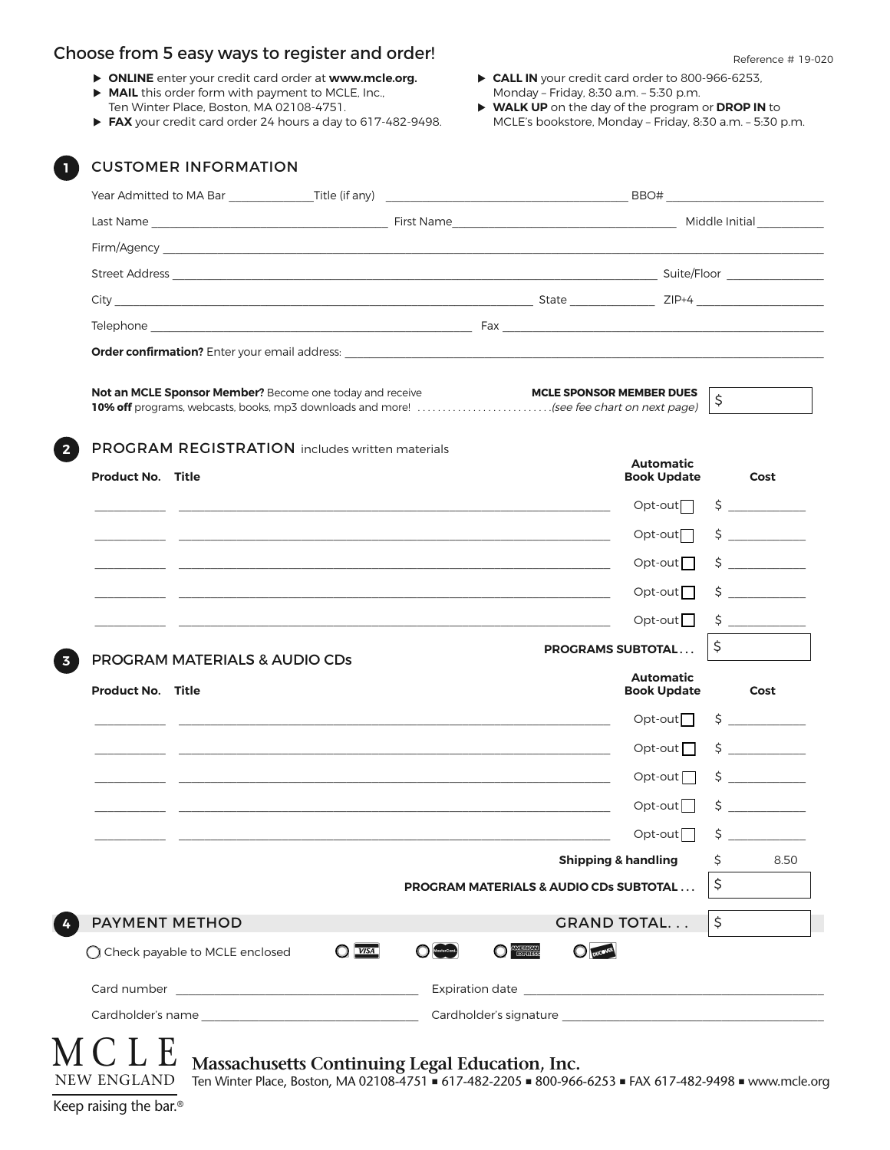#### Choose from 5 easy ways to register and order! Choose  $R_{\text{Reference H 19-020}}$

- u **ONLINE** enter your credit card order at **www.mcle.org.**
- **MAIL** this order form with payment to MCLE, Inc., Ten Winter Place, Boston, MA 02108-4751.
- ▶ FAX your credit card order 24 hours a day to 617-482-9498.
- ▶ CALL IN your credit card order to 800-966-6253, Monday – Friday, 8:30 a.m. – 5:30 p.m.
- u **WALK UP** on the day of the program or **DROP IN** to MCLE's bookstore, Monday – Friday, 8:30 a.m. – 5:30 p.m.

|                                  | <b>Not an MCLE Sponsor Member?</b> Become one today and receive<br>10% off programs, webcasts, books, mp3 downloads and more! (see fee chart on next page) |                                | <b>MCLE SPONSOR MEMBER DUES</b>                                                                                       | \$ |                                                                                   |
|----------------------------------|------------------------------------------------------------------------------------------------------------------------------------------------------------|--------------------------------|-----------------------------------------------------------------------------------------------------------------------|----|-----------------------------------------------------------------------------------|
| <b>Product No. Title</b>         | <b>PROGRAM REGISTRATION</b> includes written materials                                                                                                     |                                | <b>Automatic</b><br><b>Book Update</b>                                                                                |    | Cost                                                                              |
|                                  |                                                                                                                                                            |                                | $Opt-out$                                                                                                             |    | $\zeta$                                                                           |
|                                  |                                                                                                                                                            |                                | $Opt-out$                                                                                                             |    | $\frac{1}{2}$                                                                     |
|                                  |                                                                                                                                                            |                                | $Opt-out$                                                                                                             |    | $\zeta$                                                                           |
|                                  |                                                                                                                                                            |                                | $Opt-out$                                                                                                             |    | $\zeta$                                                                           |
|                                  |                                                                                                                                                            |                                | Opt-out $\Box$                                                                                                        |    |                                                                                   |
|                                  |                                                                                                                                                            |                                | <b>PROGRAMS SUBTOTAL</b>                                                                                              | \$ |                                                                                   |
| <b>Product No. Title</b>         | PROGRAM MATERIALS & AUDIO CDs                                                                                                                              |                                | <b>Automatic</b><br><b>Book Update</b>                                                                                |    | Cost                                                                              |
|                                  |                                                                                                                                                            |                                | $Opt-out$                                                                                                             |    | $\begin{array}{c} \n \uparrow \\ \n \downarrow \n \end{array}$                    |
|                                  |                                                                                                                                                            |                                | Opt-out $\Box$                                                                                                        |    | $\begin{array}{c c} \n\text{S} & \text{S} & \text{S} & \text{S} \\ \n\end{array}$ |
|                                  |                                                                                                                                                            |                                | $Opt-out$                                                                                                             |    |                                                                                   |
|                                  |                                                                                                                                                            |                                | $Opt-out$                                                                                                             | \$ |                                                                                   |
|                                  |                                                                                                                                                            |                                | $Opt-out$                                                                                                             | \$ | <u> 1999 - Jan Jawa</u>                                                           |
|                                  |                                                                                                                                                            |                                | <b>Shipping &amp; handling</b>                                                                                        | \$ | 8.50                                                                              |
|                                  |                                                                                                                                                            |                                | <b>PROGRAM MATERIALS &amp; AUDIO CDs SUBTOTAL</b>                                                                     | \$ |                                                                                   |
| <b>PAYMENT METHOD</b>            |                                                                                                                                                            |                                | <b>GRAND TOTAL</b>                                                                                                    | \$ |                                                                                   |
| ◯ Check payable to MCLE enclosed | $Q$ <i>VISA</i>                                                                                                                                            | <b>O <i><b>EXHELEN</b></i></b> | <b>DUCOVER</b>                                                                                                        |    |                                                                                   |
|                                  |                                                                                                                                                            |                                | Expiration date <u>contract and a series of the series of the series of the series of the series of the series of</u> |    |                                                                                   |
|                                  |                                                                                                                                                            |                                |                                                                                                                       |    |                                                                                   |

NEW ENGLAND Ten Winter Place, Boston, MA 02108-4751 ■ 617-482-2205 ■ 800-966-6253 ■ FAX 617-482-9498 ■ www.mcle.org

Keep raising the bar.®